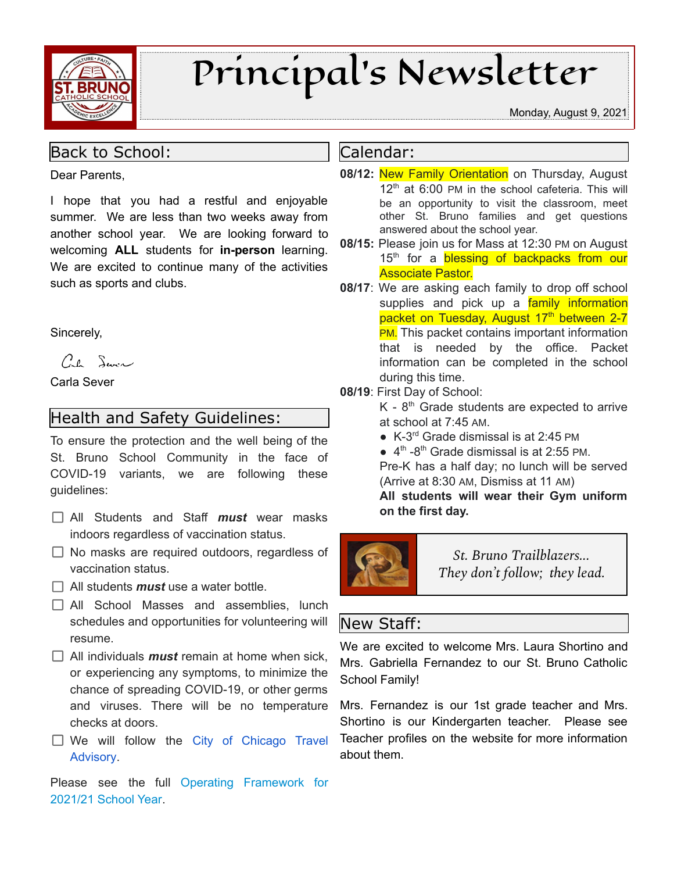

# Principal's Newsletter

#### Monday, August 9, 2021

#### Back to School:

Dear Parents,

I hope that you had a restful and enjoyable summer. We are less than two weeks away from another school year. We are looking forward to welcoming **ALL** students for **in-person** learning. We are excited to continue many of the activities such as sports and clubs.

Sincerely,

Cal Service

Carla Sever

## Health and Safety Guidelines:

To ensure the protection and the well being of the St. Bruno School Community in the face of COVID-19 variants, we are following these guidelines:

- All Students and Staff *must* wear masks indoors regardless of vaccination status.
- $\Box$  No masks are required outdoors, regardless of vaccination status.
- $\Box$  All students *must* use a water bottle.
- All School Masses and assemblies, lunch schedules and opportunities for volunteering will resume.
- $\Box$  All individuals **must** remain at home when sick, or experiencing any symptoms, to minimize the chance of spreading COVID-19, or other germs and viruses. There will be no temperature checks at doors.
- $\Box$  We will follow the City of [Chicago](https://www.chicago.gov/city/en/sites/covid-19/home/emergency-travel-order.html) Travel [Advisory.](https://www.chicago.gov/city/en/sites/covid-19/home/emergency-travel-order.html)

Please see the full Operating [Framework](https://schools.archchicago.org/documents/80540/2983414/ABRIDGED_Reopening+Planning+Framework+2021-22.pdf/c6063a7f-146a-4f7d-881e-bb4a2ecabb1e) for [2021/21](https://schools.archchicago.org/documents/80540/2983414/ABRIDGED_Reopening+Planning+Framework+2021-22.pdf/c6063a7f-146a-4f7d-881e-bb4a2ecabb1e) School Year.

#### Calendar:

- **08/12:** New Family Orientation on Thursday, August 12<sup>th</sup> at 6:00 PM in the school cafeteria. This will be an opportunity to visit the classroom, meet other St. Bruno families and get questions answered about the school year.
- **08/15:** Please join us for Mass at 12:30 PM on August 15<sup>th</sup> for a **blessing of backpacks from our** Associate Pastor.
- **08/17**: We are asking each family to drop off school supplies and pick up a family information packet on Tuesday, August 17<sup>th</sup> between 2-7 **PM.** This packet contains important information that is needed by the office. Packet information can be completed in the school during this time.

#### **08/19**: First Day of School:

- $K 8<sup>th</sup>$  Grade students are expected to arrive at school at 7:45 AM.
- K-3 rd Grade dismissal is at 2:45 PM
- $\bullet$  4<sup>th</sup> -8<sup>th</sup> Grade dismissal is at 2:55 PM.

Pre-K has a half day; no lunch will be served (Arrive at 8:30 AM, Dismiss at 11 AM)

**All students will wear their Gym uniform on the first day.**



*St. Bruno Trailblazers... They don't follow; they lead.*

### New Staff:

We are excited to welcome Mrs. Laura Shortino and Mrs. Gabriella Fernandez to our St. Bruno Catholic School Family!

Mrs. Fernandez is our 1st grade teacher and Mrs. Shortino is our Kindergarten teacher. Please see Teacher profiles on the website for more information about them.